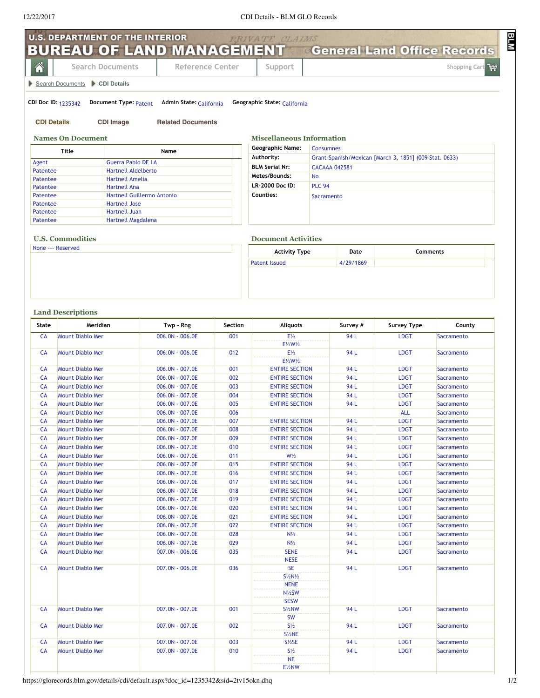| 谷                                      | <b>Search Documents</b>                     | <b>BUREAU OF LAND MANAGEMENT</b> General Land Office Records |           | Reference Center                   |                                               | Support                                                              |                  |                  |                            | Shopping Cart            |  |
|----------------------------------------|---------------------------------------------|--------------------------------------------------------------|-----------|------------------------------------|-----------------------------------------------|----------------------------------------------------------------------|------------------|------------------|----------------------------|--------------------------|--|
|                                        | Search Documents CDI Details                |                                                              |           |                                    |                                               |                                                                      |                  |                  |                            |                          |  |
|                                        |                                             |                                                              |           |                                    |                                               |                                                                      |                  |                  |                            |                          |  |
|                                        | <b>CDI Doc ID: 1235342</b>                  | Document Type: Patent                                        |           | Admin State: California            |                                               | Geographic State: California                                         |                  |                  |                            |                          |  |
|                                        | <b>CDI Details</b>                          | <b>CDI Image</b>                                             |           | <b>Related Documents</b>           |                                               |                                                                      |                  |                  |                            |                          |  |
|                                        | <b>Names On Document</b>                    |                                                              |           |                                    |                                               | <b>Miscellaneous Information</b>                                     |                  |                  |                            |                          |  |
|                                        | <b>Title</b>                                |                                                              | Name      |                                    |                                               | <b>Geographic Name:</b>                                              | <b>Consumnes</b> |                  |                            |                          |  |
| Agent                                  | <b>Guerra Pablo DE LA</b>                   |                                                              |           |                                    |                                               | Authority:<br>Grant-Spanish/Mexican [March 3, 1851] (009 Stat. 0633) |                  |                  |                            |                          |  |
| <b>Hartnell Aldelberto</b><br>Patentee |                                             |                                                              |           |                                    | <b>BLM Serial Nr:</b><br><b>CACAAA 042581</b> |                                                                      |                  |                  |                            |                          |  |
| <b>Hartnell Amelia</b><br>Patentee     |                                             |                                                              |           | Metes/Bounds:<br><b>No</b>         |                                               |                                                                      |                  |                  |                            |                          |  |
| <b>Hartnell Ana</b><br>Patentee        |                                             |                                                              |           | LR-2000 Doc ID:                    | <b>PLC 94</b>                                 |                                                                      |                  |                  |                            |                          |  |
| Patentee                               |                                             | Hartnell Guillermo Antonio                                   |           |                                    |                                               | Counties:                                                            |                  | Sacramento       |                            |                          |  |
| Patentee<br>Patentee                   |                                             | <b>Hartnell Jose</b><br><b>Hartnell Juan</b>                 |           |                                    |                                               |                                                                      |                  |                  |                            |                          |  |
| Patentee                               |                                             | Hartnell Magdalena                                           |           |                                    |                                               |                                                                      |                  |                  |                            |                          |  |
|                                        | <b>U.S. Commodities</b>                     |                                                              |           |                                    |                                               | <b>Document Activities</b>                                           |                  |                  |                            |                          |  |
| None --- Reserved                      |                                             |                                                              |           |                                    |                                               | <b>Activity Type</b>                                                 |                  | Date<br>Comments |                            |                          |  |
|                                        |                                             |                                                              |           |                                    |                                               | <b>Patent Issued</b>                                                 |                  | 4/29/1869        |                            |                          |  |
| State                                  | <b>Land Descriptions</b><br>Meridian        |                                                              | Twp - Rng |                                    | Section                                       | <b>Aliquots</b>                                                      |                  | Survey #         | <b>Survey Type</b>         | County                   |  |
| <b>CA</b>                              | <b>Mount Diablo Mer</b>                     |                                                              |           | 006.0N - 006.0E                    | 001                                           | $E\frac{1}{2}$                                                       |                  | 94 L             | <b>LDGT</b>                | Sacramento               |  |
| CA                                     | <b>Mount Diablo Mer</b>                     |                                                              |           | 006.0N - 006.0E                    | 012                                           | E1/2W1/2<br>$E\frac{1}{2}$                                           |                  | 94 L             | <b>LDGT</b>                | Sacramento               |  |
| CA                                     | <b>Mount Diablo Mer</b>                     |                                                              |           | 006.0N - 007.0E                    | 001                                           | E1/2W1/2<br><b>ENTIRE SECTION</b>                                    |                  | 94 L             | <b>LDGT</b>                | Sacramento               |  |
| <b>CA</b>                              | <b>Mount Diablo Mer</b>                     |                                                              |           | 006.0N - 007.0E                    | 002                                           | <b>ENTIRE SECTION</b>                                                |                  | 94 L             | <b>LDGT</b>                | Sacramento               |  |
| CA                                     | <b>Mount Diablo Mer</b>                     |                                                              |           | 006.0N - 007.0E                    | 003                                           | <b>ENTIRE SECTION</b>                                                |                  | 94 L             | <b>LDGT</b>                | Sacramento               |  |
| <b>CA</b>                              | <b>Mount Diablo Mer</b>                     |                                                              |           | 006.0N - 007.0E                    | 004                                           | <b>ENTIRE SECTION</b>                                                |                  | 94 L             | <b>LDGT</b>                | Sacramento               |  |
| <b>CA</b>                              | <b>Mount Diablo Mer</b>                     |                                                              |           | 006.0N - 007.0E                    | 005                                           | <b>ENTIRE SECTION</b>                                                |                  | 94 L             | <b>LDGT</b>                | Sacramento               |  |
| <b>CA</b>                              | <b>Mount Diablo Mer</b>                     |                                                              |           | 006.0N - 007.0E                    | 006                                           |                                                                      |                  |                  | <b>ALL</b>                 | Sacramento               |  |
| <b>CA</b>                              | <b>Mount Diablo Mer</b>                     |                                                              |           | 006.0N - 007.0E                    | 007                                           | <b>ENTIRE SECTION</b>                                                |                  | 94 L             | <b>LDGT</b>                | Sacramento               |  |
| CA                                     | <b>Mount Diablo Mer</b>                     |                                                              |           | 006.0N - 007.0E<br>006.0N - 007.0E | 008<br>009                                    | <b>ENTIRE SECTION</b>                                                |                  | 94 L             | <b>LDGT</b>                | Sacramento               |  |
| CA<br>CA                               | Mount Diablo Mer<br><b>Mount Diablo Mer</b> |                                                              |           | 006.0N - 007.0E                    | 010                                           | <b>ENTIRE SECTION</b><br><b>ENTIRE SECTION</b>                       |                  | 94 L<br>94 L     | <b>LDGT</b><br><b>LDGT</b> | Sacramento<br>Sacramento |  |
| CA                                     | <b>Mount Diablo Mer</b>                     |                                                              |           | 006.0N - 007.0E                    | 011                                           | $W\frac{1}{2}$                                                       |                  | 94 L             | <b>LDGT</b>                | Sacramento               |  |
| CA                                     | <b>Mount Diablo Mer</b>                     |                                                              |           | 006.0N - 007.0E                    | 015                                           | <b>ENTIRE SECTION</b>                                                |                  | 94 L             | <b>LDGT</b>                | Sacramento               |  |
| CA                                     | Mount Diablo Mer                            |                                                              |           | 006.0N - 007.0E                    | 016                                           | <b>ENTIRE SECTION</b>                                                |                  | 94 L             | <b>LDGT</b>                | Sacramento               |  |
| CA                                     | <b>Mount Diablo Mer</b>                     |                                                              |           | 006.0N - 007.0E                    | 017                                           | <b>ENTIRE SECTION</b>                                                |                  | 94 L             | <b>LDGT</b>                | Sacramento               |  |
| CA                                     | Mount Diablo Mer                            |                                                              |           | 006.0N - 007.0E                    | 018                                           | <b>ENTIRE SECTION</b>                                                |                  | 94 L             | <b>LDGT</b>                | Sacramento               |  |
| CA                                     | Mount Diablo Mer                            |                                                              |           | 006.0N - 007.0E                    | 019                                           | <b>ENTIRE SECTION</b>                                                |                  | 94 L             | <b>LDGT</b>                | Sacramento               |  |
| CA                                     | <b>Mount Diablo Mer</b>                     |                                                              |           | 006.0N - 007.0E                    | 020                                           | <b>ENTIRE SECTION</b>                                                |                  | 94 L             | <b>LDGT</b>                | Sacramento               |  |
|                                        | Mount Diablo Mer                            |                                                              |           | 006.0N - 007.0E                    | 021                                           | <b>ENTIRE SECTION</b>                                                |                  | 94 L             | <b>LDGT</b>                | Sacramento               |  |
| CA                                     |                                             |                                                              |           |                                    |                                               |                                                                      |                  |                  |                            |                          |  |
| <b>CA</b>                              | <b>Mount Diablo Mer</b>                     |                                                              |           | 006.0N - 007.0E                    | 022                                           | <b>ENTIRE SECTION</b>                                                |                  | 94 L             | <b>LDGT</b>                | Sacramento               |  |
| CA<br>CA                               | Mount Diablo Mer<br><b>Mount Diablo Mer</b> |                                                              |           | 006.0N - 007.0E<br>006.0N - 007.0E | 028<br>029                                    | $N\frac{1}{2}$<br>$N\frac{1}{2}$                                     |                  | 94 L<br>94 L     | <b>LDGT</b><br><b>LDGT</b> | Sacramento<br>Sacramento |  |
| CA                                     | <b>Mount Diablo Mer</b>                     |                                                              |           | 007.0N - 006.0E                    | 035                                           | <b>SENE</b><br><b>NESE</b>                                           |                  | 94 L             | <b>LDGT</b>                | Sacramento               |  |
| CA                                     | Mount Diablo Mer                            |                                                              |           | 007.0N - 006.0E                    | 036                                           | <b>SE</b><br>$S\frac{1}{2}N\frac{1}{2}$<br><b>NENE</b><br>N1/2SW     |                  | 94 L             | <b>LDGT</b>                | Sacramento               |  |
| CA                                     | <b>Mount Diablo Mer</b>                     |                                                              |           | 007.0N - 007.0E                    | 001                                           | <b>SESW</b><br>S <sup>1/2</sup> NW                                   |                  | 94 L             | <b>LDGT</b>                | Sacramento               |  |
| CA                                     | <b>Mount Diablo Mer</b>                     |                                                              |           | 007.0N - 007.0E                    | 002                                           | <b>SW</b><br>$S\frac{1}{2}$                                          |                  | 94 L             | <b>LDGT</b>                | Sacramento               |  |
|                                        |                                             |                                                              |           |                                    |                                               | $S\frac{1}{2}NE$                                                     |                  |                  |                            |                          |  |
| CA<br>CA                               | Mount Diablo Mer<br><b>Mount Diablo Mer</b> |                                                              |           | 007.0N - 007.0E<br>007.0N - 007.0E | 003<br>010                                    | $S\frac{1}{2}SE$<br>$S\frac{1}{2}$                                   |                  | 94 L<br>94 L     | <b>LDGT</b><br><b>LDGT</b> | Sacramento<br>Sacramento |  |

https://glorecords.blm.gov/details/cdi/default.aspx?doc\_id=1235342&sid=2tv15okn.dhq 1/2

**BLM**